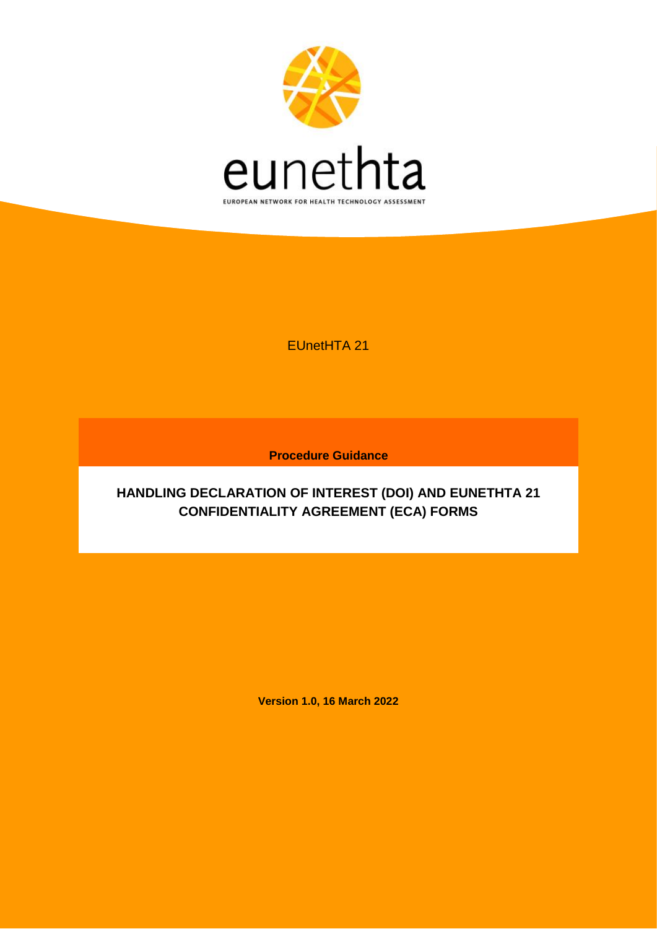

EUnetHTA 21

**Procedure Guidance** 

# **HANDLING DECLARATION OF INTEREST (DOI) AND EUNETHTA 21 CONFIDENTIALITY AGREEMENT (ECA) FORMS**

**Version 1.0, 16 March 2022**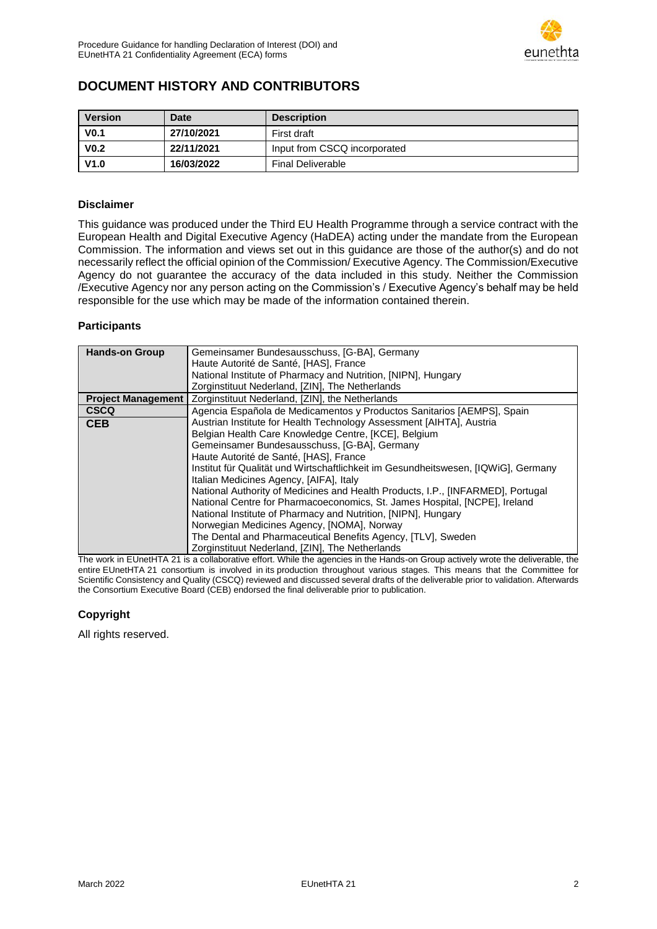

## <span id="page-1-0"></span>**DOCUMENT HISTORY AND CONTRIBUTORS**

| <b>Version</b>   | Date       | <b>Description</b>           |
|------------------|------------|------------------------------|
| V <sub>0.1</sub> | 27/10/2021 | First draft                  |
| V <sub>0.2</sub> | 22/11/2021 | Input from CSCQ incorporated |
| V1.0             | 16/03/2022 | <b>Final Deliverable</b>     |

#### **Disclaimer**

This guidance was produced under the Third EU Health Programme through a service contract with the European Health and Digital Executive Agency (HaDEA) acting under the mandate from the European Commission. The information and views set out in this guidance are those of the author(s) and do not necessarily reflect the official opinion of the Commission/ Executive Agency. The Commission/Executive Agency do not guarantee the accuracy of the data included in this study. Neither the Commission /Executive Agency nor any person acting on the Commission's / Executive Agency's behalf may be held responsible for the use which may be made of the information contained therein.

#### **Participants**

| <b>Hands-on Group</b>     | Gemeinsamer Bundesausschuss, [G-BA], Germany                                       |  |
|---------------------------|------------------------------------------------------------------------------------|--|
|                           | Haute Autorité de Santé, [HAS], France                                             |  |
|                           | National Institute of Pharmacy and Nutrition, [NIPN], Hungary                      |  |
|                           | Zorginstituut Nederland, [ZIN], The Netherlands                                    |  |
| <b>Project Management</b> | Zorginstituut Nederland, [ZIN], the Netherlands                                    |  |
| <b>CSCQ</b>               | Agencia Española de Medicamentos y Productos Sanitarios [AEMPS], Spain             |  |
| <b>CEB</b>                | Austrian Institute for Health Technology Assessment [AIHTA], Austria               |  |
|                           | Belgian Health Care Knowledge Centre, [KCE], Belgium                               |  |
|                           | Gemeinsamer Bundesausschuss, [G-BA], Germany                                       |  |
|                           | Haute Autorité de Santé, [HAS], France                                             |  |
|                           | Institut für Qualität und Wirtschaftlichkeit im Gesundheitswesen, [IQWiG], Germany |  |
|                           | Italian Medicines Agency, [AIFA], Italy                                            |  |
|                           | National Authority of Medicines and Health Products, I.P., [INFARMED], Portugal    |  |
|                           | National Centre for Pharmacoeconomics, St. James Hospital, [NCPE], Ireland         |  |
|                           | National Institute of Pharmacy and Nutrition, [NIPN], Hungary                      |  |
|                           | Norwegian Medicines Agency, [NOMA], Norway                                         |  |
|                           | The Dental and Pharmaceutical Benefits Agency, [TLV], Sweden                       |  |
|                           | Zorginstituut Nederland, [ZIN], The Netherlands<br>$\cdots$                        |  |

The work in EUnetHTA 21 is a collaborative effort. While the agencies in the Hands-on Group actively wrote the deliverable, the entire EUnetHTA 21 consortium is involved in its production throughout various stages. This means that the Committee for Scientific Consistency and Quality (CSCQ) reviewed and discussed several drafts of the deliverable prior to validation. Afterwards the Consortium Executive Board (CEB) endorsed the final deliverable prior to publication.

#### **Copyright**

All rights reserved.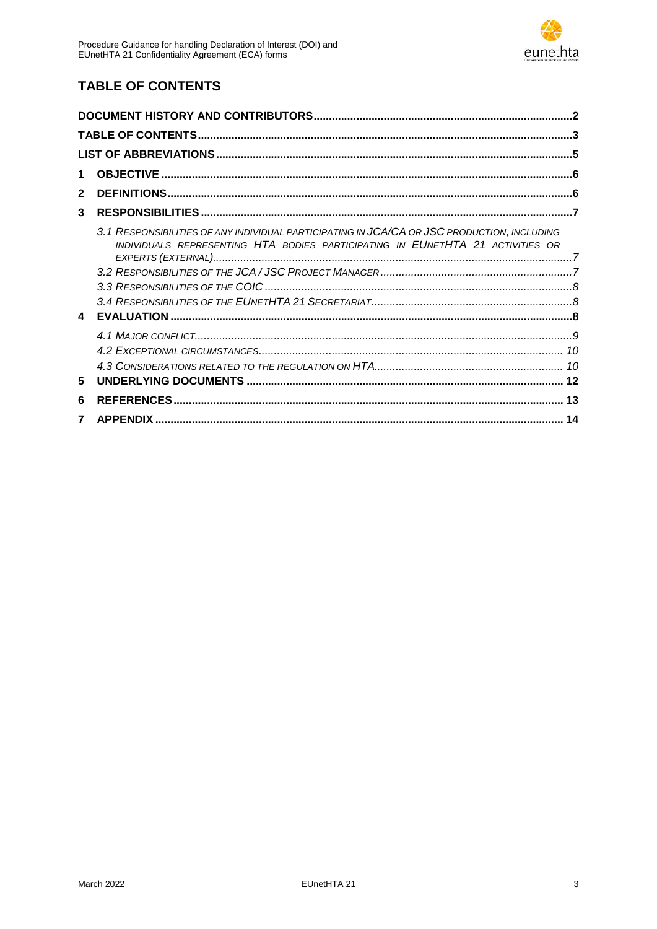

# <span id="page-2-0"></span>**TABLE OF CONTENTS**

| 1            |                                                                                                                                                                               |  |
|--------------|-------------------------------------------------------------------------------------------------------------------------------------------------------------------------------|--|
| $\mathbf{2}$ |                                                                                                                                                                               |  |
| 3            |                                                                                                                                                                               |  |
|              | 3.1 RESPONSIBILITIES OF ANY INDIVIDUAL PARTICIPATING IN JCA/CA OR JSC PRODUCTION, INCLUDING<br>INDIVIDUALS REPRESENTING HTA BODIES PARTICIPATING IN EUNETHTA 21 ACTIVITIES OR |  |
|              |                                                                                                                                                                               |  |
| 4            |                                                                                                                                                                               |  |
|              |                                                                                                                                                                               |  |
|              |                                                                                                                                                                               |  |
| 5            |                                                                                                                                                                               |  |
| 6            |                                                                                                                                                                               |  |
| 7            |                                                                                                                                                                               |  |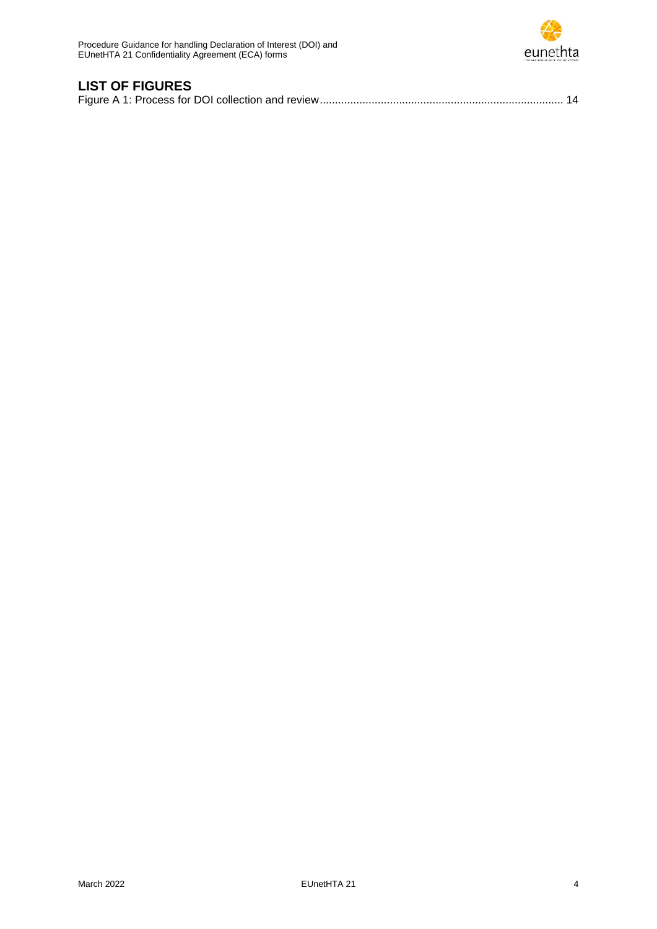

# **LIST OF FIGURES**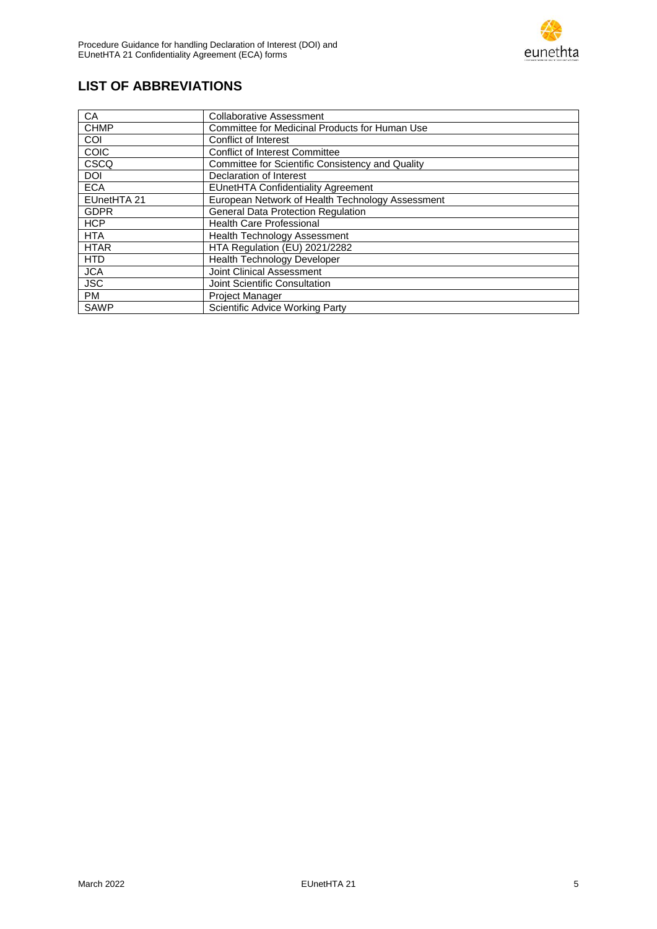

# <span id="page-4-0"></span>**LIST OF ABBREVIATIONS**

| СA          | <b>Collaborative Assessment</b>                  |
|-------------|--------------------------------------------------|
| <b>CHMP</b> | Committee for Medicinal Products for Human Use   |
| <b>COI</b>  | Conflict of Interest                             |
| <b>COIC</b> | <b>Conflict of Interest Committee</b>            |
| CSCQ        | Committee for Scientific Consistency and Quality |
| <b>DOI</b>  | Declaration of Interest                          |
| <b>ECA</b>  | <b>EUnetHTA Confidentiality Agreement</b>        |
| EUnetHTA 21 | European Network of Health Technology Assessment |
| <b>GDPR</b> | <b>General Data Protection Regulation</b>        |
| <b>HCP</b>  | <b>Health Care Professional</b>                  |
| <b>HTA</b>  | <b>Health Technology Assessment</b>              |
| <b>HTAR</b> | HTA Regulation (EU) 2021/2282                    |
| <b>HTD</b>  | <b>Health Technology Developer</b>               |
| <b>JCA</b>  | Joint Clinical Assessment                        |
| <b>JSC</b>  | Joint Scientific Consultation                    |
| <b>PM</b>   | Project Manager                                  |
| <b>SAWP</b> | <b>Scientific Advice Working Party</b>           |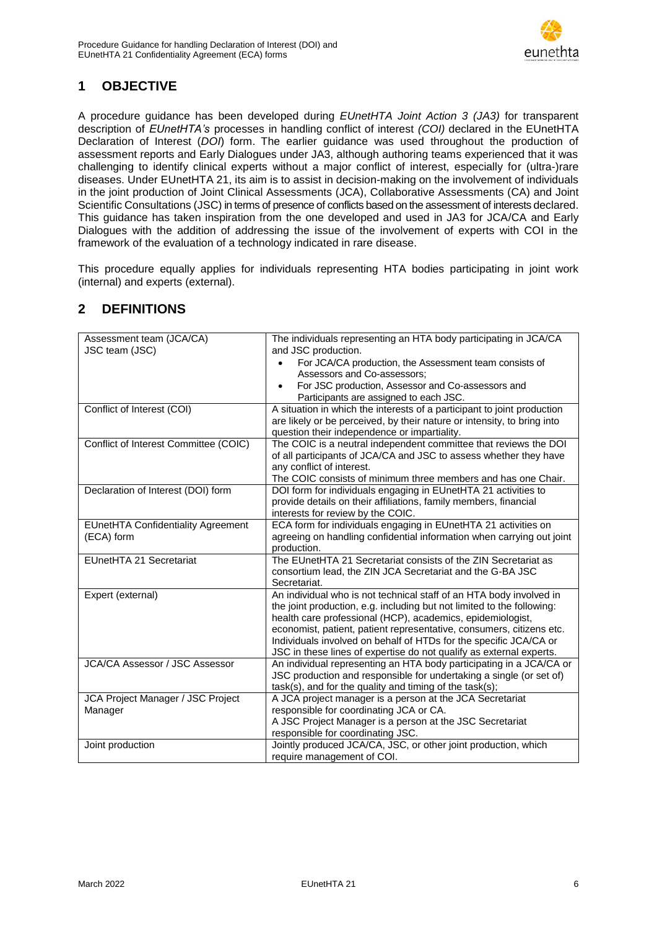

# <span id="page-5-0"></span>**1 OBJECTIVE**

A procedure guidance has been developed during *EUnetHTA Joint Action 3 (JA3)* for transparent description of *EUnetHTA's* processes in handling conflict of interest *(COI)* declared in the EUnetHTA Declaration of Interest (*DOI*) form. The earlier guidance was used throughout the production of assessment reports and Early Dialogues under JA3, although authoring teams experienced that it was challenging to identify clinical experts without a major conflict of interest, especially for (ultra-)rare diseases. Under EUnetHTA 21, its aim is to assist in decision-making on the involvement of individuals in the joint production of Joint Clinical Assessments (JCA), Collaborative Assessments (CA) and Joint Scientific Consultations (JSC) in terms of presence of conflicts based on the assessment of interests declared. This guidance has taken inspiration from the one developed and used in JA3 for JCA/CA and Early Dialogues with the addition of addressing the issue of the involvement of experts with COI in the framework of the evaluation of a technology indicated in rare disease.

This procedure equally applies for individuals representing HTA bodies participating in joint work (internal) and experts (external).

| Assessment team (JCA/CA)<br>JSC team (JSC)              | The individuals representing an HTA body participating in JCA/CA<br>and JSC production.                                                                                                                                                                                                                                                                                                                                         |
|---------------------------------------------------------|---------------------------------------------------------------------------------------------------------------------------------------------------------------------------------------------------------------------------------------------------------------------------------------------------------------------------------------------------------------------------------------------------------------------------------|
|                                                         | For JCA/CA production, the Assessment team consists of<br>Assessors and Co-assessors;                                                                                                                                                                                                                                                                                                                                           |
|                                                         | For JSC production, Assessor and Co-assessors and<br>$\bullet$<br>Participants are assigned to each JSC.                                                                                                                                                                                                                                                                                                                        |
| Conflict of Interest (COI)                              | A situation in which the interests of a participant to joint production<br>are likely or be perceived, by their nature or intensity, to bring into<br>question their independence or impartiality.                                                                                                                                                                                                                              |
| Conflict of Interest Committee (COIC)                   | The COIC is a neutral independent committee that reviews the DOI<br>of all participants of JCA/CA and JSC to assess whether they have<br>any conflict of interest.<br>The COIC consists of minimum three members and has one Chair.                                                                                                                                                                                             |
| Declaration of Interest (DOI) form                      | DOI form for individuals engaging in EUnetHTA 21 activities to<br>provide details on their affiliations, family members, financial<br>interests for review by the COIC.                                                                                                                                                                                                                                                         |
| <b>EUnetHTA Confidentiality Agreement</b><br>(ECA) form | ECA form for individuals engaging in EUnetHTA 21 activities on<br>agreeing on handling confidential information when carrying out joint<br>production.                                                                                                                                                                                                                                                                          |
| EUnetHTA 21 Secretariat                                 | The EUnetHTA 21 Secretariat consists of the ZIN Secretariat as<br>consortium lead, the ZIN JCA Secretariat and the G-BA JSC<br>Secretariat.                                                                                                                                                                                                                                                                                     |
| Expert (external)                                       | An individual who is not technical staff of an HTA body involved in<br>the joint production, e.g. including but not limited to the following:<br>health care professional (HCP), academics, epidemiologist,<br>economist, patient, patient representative, consumers, citizens etc.<br>Individuals involved on behalf of HTDs for the specific JCA/CA or<br>JSC in these lines of expertise do not qualify as external experts. |
| <b>JCA/CA Assessor / JSC Assessor</b>                   | An individual representing an HTA body participating in a JCA/CA or<br>JSC production and responsible for undertaking a single (or set of)<br>task(s), and for the quality and timing of the task(s);                                                                                                                                                                                                                           |
| JCA Project Manager / JSC Project<br>Manager            | A JCA project manager is a person at the JCA Secretariat<br>responsible for coordinating JCA or CA.<br>A JSC Project Manager is a person at the JSC Secretariat<br>responsible for coordinating JSC.                                                                                                                                                                                                                            |
| Joint production                                        | Jointly produced JCA/CA, JSC, or other joint production, which<br>require management of COI.                                                                                                                                                                                                                                                                                                                                    |

### <span id="page-5-1"></span>**2 DEFINITIONS**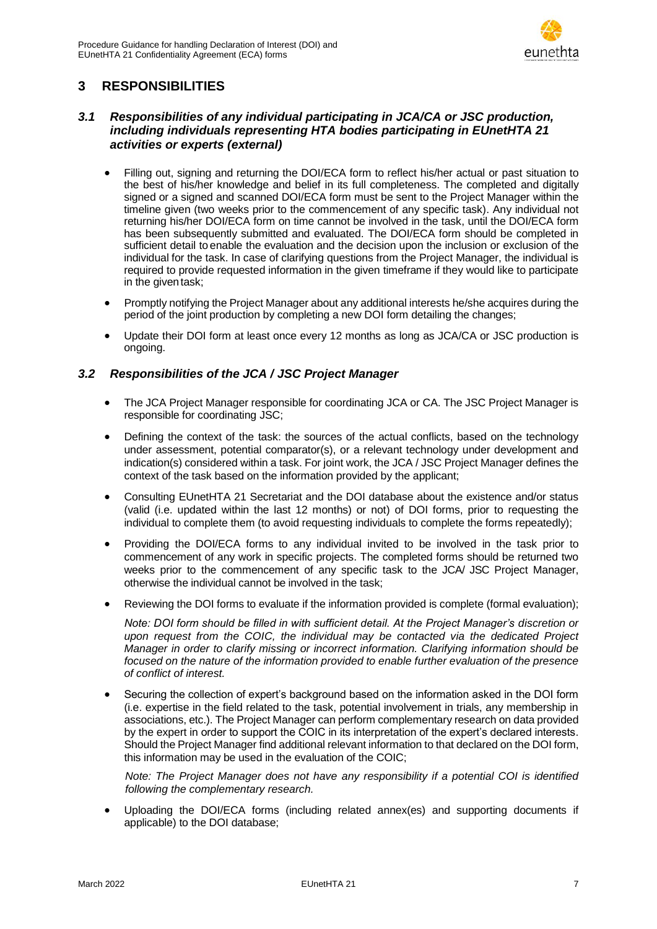

## <span id="page-6-0"></span>**3 RESPONSIBILITIES**

### <span id="page-6-1"></span>*3.1 Responsibilities of any individual participating in JCA/CA or JSC production, including individuals representing HTA bodies participating in EUnetHTA 21 activities or experts (external)*

- Filling out, signing and returning the DOI/ECA form to reflect his/her actual or past situation to the best of his/her knowledge and belief in its full completeness. The completed and digitally signed or a signed and scanned DOI/ECA form must be sent to the Project Manager within the timeline given (two weeks prior to the commencement of any specific task). Any individual not returning his/her DOI/ECA form on time cannot be involved in the task, until the DOI/ECA form has been subsequently submitted and evaluated. The DOI/ECA form should be completed in sufficient detail to enable the evaluation and the decision upon the inclusion or exclusion of the individual for the task. In case of clarifying questions from the Project Manager, the individual is required to provide requested information in the given timeframe if they would like to participate in the giventask;
- Promptly notifying the Project Manager about any additional interests he/she acquires during the period of the joint production by completing a new DOI form detailing the changes;
- Update their DOI form at least once every 12 months as long as JCA/CA or JSC production is ongoing.

### <span id="page-6-2"></span>*3.2 Responsibilities of the JCA / JSC Project Manager*

- The JCA Project Manager responsible for coordinating JCA or CA. The JSC Project Manager is responsible for coordinating JSC;
- Defining the context of the task: the sources of the actual conflicts, based on the technology under assessment, potential comparator(s), or a relevant technology under development and indication(s) considered within a task. For joint work, the JCA / JSC Project Manager defines the context of the task based on the information provided by the applicant;
- Consulting EUnetHTA 21 Secretariat and the DOI database about the existence and/or status (valid (i.e. updated within the last 12 months) or not) of DOI forms, prior to requesting the individual to complete them (to avoid requesting individuals to complete the forms repeatedly);
- Providing the DOI/ECA forms to any individual invited to be involved in the task prior to commencement of any work in specific projects. The completed forms should be returned two weeks prior to the commencement of any specific task to the JCA/ JSC Project Manager, otherwise the individual cannot be involved in the task;
- Reviewing the DOI forms to evaluate if the information provided is complete (formal evaluation);

*Note: DOI form should be filled in with sufficient detail. At the Project Manager's discretion or upon request from the COIC, the individual may be contacted via the dedicated Project Manager in order to clarify missing or incorrect information. Clarifying information should be focused on the nature of the information provided to enable further evaluation of the presence of conflict of interest.*

 Securing the collection of expert's background based on the information asked in the DOI form (i.e. expertise in the field related to the task, potential involvement in trials, any membership in associations, etc.). The Project Manager can perform complementary research on data provided by the expert in order to support the COIC in its interpretation of the expert's declared interests. Should the Project Manager find additional relevant information to that declared on the DOI form, this information may be used in the evaluation of the COIC;

*Note: The Project Manager does not have any responsibility if a potential COI is identified following the complementary research.*

 Uploading the DOI/ECA forms (including related annex(es) and supporting documents if applicable) to the DOI database;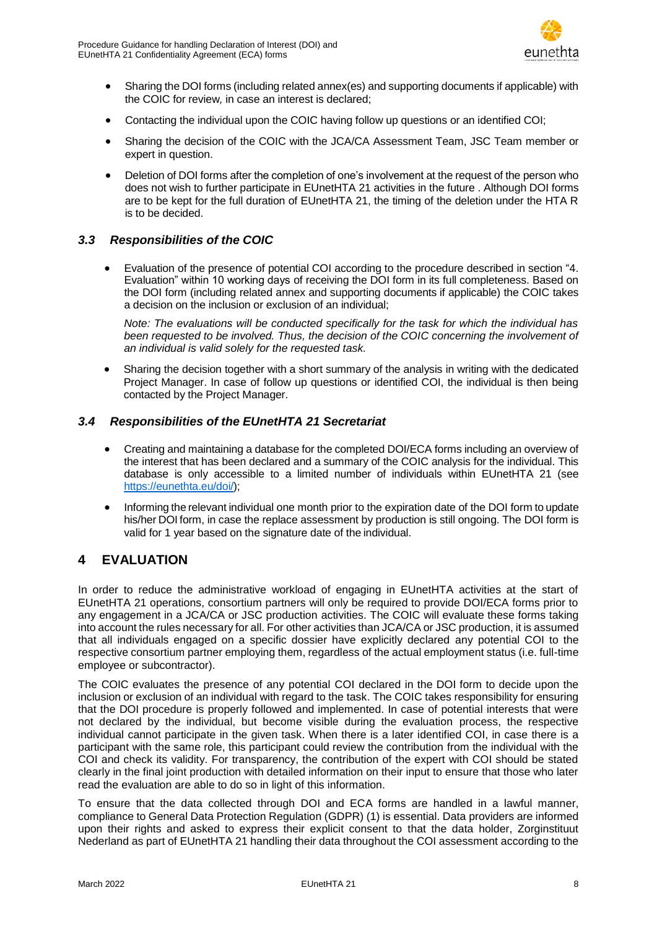

- Sharing the DOI forms (including related annex(es) and supporting documents if applicable) with the COIC for review*,* in case an interest is declared;
- Contacting the individual upon the COIC having follow up questions or an identified COI;
- Sharing the decision of the COIC with the JCA/CA Assessment Team, JSC Team member or expert in question.
- Deletion of DOI forms after the completion of one's involvement at the request of the person who does not wish to further participate in EUnetHTA 21 activities in the future . Although DOI forms are to be kept for the full duration of EUnetHTA 21, the timing of the deletion under the HTA R is to be decided.

### <span id="page-7-0"></span>*3.3 Responsibilities of the COIC*

 Evaluation of the presence of potential COI according to the procedure described in section "4. [Evaluation"](#page-7-2) within 10 working days of receiving the DOI form in its full completeness. Based on the DOI form (including related annex and supporting documents if applicable) the COIC takes a decision on the inclusion or exclusion of an individual;

*Note: The evaluations will be conducted specifically for the task for which the individual has been requested to be involved. Thus, the decision of the COIC concerning the involvement of an individual is valid solely for the requested task.*

 Sharing the decision together with a short summary of the analysis in writing with the dedicated Project Manager. In case of follow up questions or identified COI, the individual is then being contacted by the Project Manager.

### <span id="page-7-1"></span>*3.4 Responsibilities of the EUnetHTA 21 Secretariat*

- Creating and maintaining a database for the completed DOI/ECA forms including an overview of the interest that has been declared and a summary of the COIC analysis for the individual. This database is only accessible to a limited number of individuals within EUnetHTA 21 (see [https://eunethta.eu/doi/\)](https://eunethta.eu/doi/);
- Informing the relevant individual one month prior to the expiration date of the DOI form to update his/her DOI form, in case the replace assessment by production is still ongoing. The DOI form is valid for 1 year based on the signature date of the individual.

# <span id="page-7-2"></span>**4 EVALUATION**

In order to reduce the administrative workload of engaging in EUnetHTA activities at the start of EUnetHTA 21 operations, consortium partners will only be required to provide DOI/ECA forms prior to any engagement in a JCA/CA or JSC production activities. The COIC will evaluate these forms taking into account the rules necessary for all. For other activities than JCA/CA or JSC production, it is assumed that all individuals engaged on a specific dossier have explicitly declared any potential COI to the respective consortium partner employing them, regardless of the actual employment status (i.e. full-time employee or subcontractor).

The COIC evaluates the presence of any potential COI declared in the DOI form to decide upon the inclusion or exclusion of an individual with regard to the task. The COIC takes responsibility for ensuring that the DOI procedure is properly followed and implemented. In case of potential interests that were not declared by the individual, but become visible during the evaluation process, the respective individual cannot participate in the given task. When there is a later identified COI, in case there is a participant with the same role, this participant could review the contribution from the individual with the COI and check its validity. For transparency, the contribution of the expert with COI should be stated clearly in the final joint production with detailed information on their input to ensure that those who later read the evaluation are able to do so in light of this information.

To ensure that the data collected through DOI and ECA forms are handled in a lawful manner, compliance to General Data Protection Regulation (GDPR) [\(1\)](#page-12-1) is essential. Data providers are informed upon their rights and asked to express their explicit consent to that the data holder, Zorginstituut Nederland as part of EUnetHTA 21 handling their data throughout the COI assessment according to the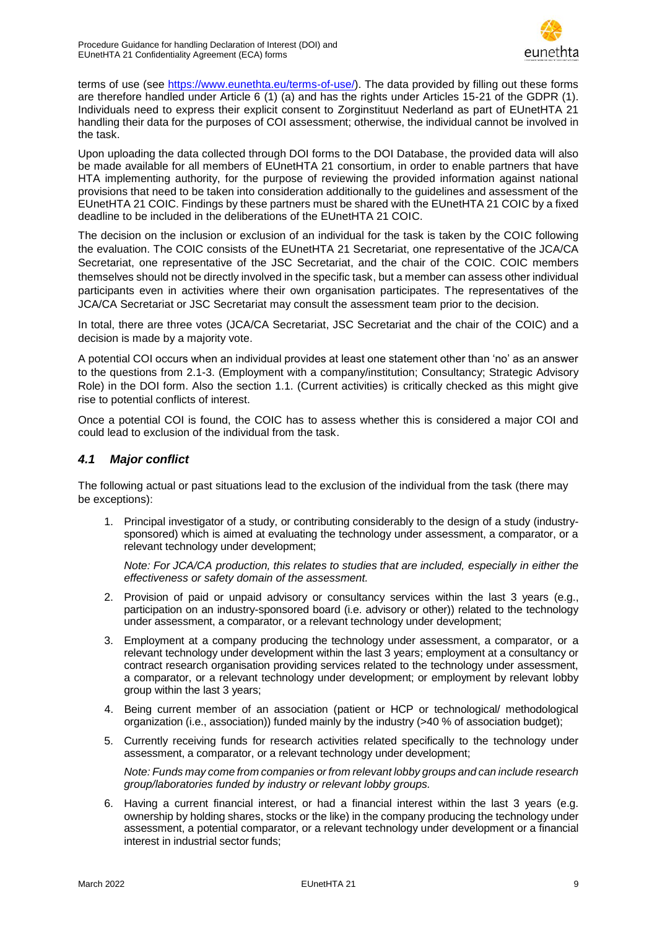

terms of use (see [https://www.eunethta.eu/terms-of-use/\)](https://www.eunethta.eu/terms-of-use/). The data provided by filling out these forms are therefore handled under Article 6 [\(1\)](#page-12-1) (a) and has the rights under Articles 15-21 of the GDPR [\(1\)](#page-12-1). Individuals need to express their explicit consent to Zorginstituut Nederland as part of EUnetHTA 21 handling their data for the purposes of COI assessment; otherwise, the individual cannot be involved in the task.

Upon uploading the data collected through DOI forms to the DOI Database, the provided data will also be made available for all members of EUnetHTA 21 consortium, in order to enable partners that have HTA implementing authority, for the purpose of reviewing the provided information against national provisions that need to be taken into consideration additionally to the guidelines and assessment of the EUnetHTA 21 COIC. Findings by these partners must be shared with the EUnetHTA 21 COIC by a fixed deadline to be included in the deliberations of the EUnetHTA 21 COIC.

The decision on the inclusion or exclusion of an individual for the task is taken by the COIC following the evaluation. The COIC consists of the EUnetHTA 21 Secretariat, one representative of the JCA/CA Secretariat, one representative of the JSC Secretariat, and the chair of the COIC. COIC members themselves should not be directly involved in the specific task, but a member can assess other individual participants even in activities where their own organisation participates. The representatives of the JCA/CA Secretariat or JSC Secretariat may consult the assessment team prior to the decision.

In total, there are three votes (JCA/CA Secretariat, JSC Secretariat and the chair of the COIC) and a decision is made by a majority vote.

A potential COI occurs when an individual provides at least one statement other than 'no' as an answer to the questions from 2.1-3. (Employment with a company/institution; Consultancy; Strategic Advisory Role) in the DOI form. Also the section 1.1. (Current activities) is critically checked as this might give rise to potential conflicts of interest.

Once a potential COI is found, the COIC has to assess whether this is considered a major COI and could lead to exclusion of the individual from the task.

#### <span id="page-8-0"></span>*4.1 Major conflict*

The following actual or past situations lead to the exclusion of the individual from the task (there may be exceptions):

1. Principal investigator of a study, or contributing considerably to the design of a study (industrysponsored) which is aimed at evaluating the technology under assessment, a comparator, or a relevant technology under development;

*Note: For JCA/CA production, this relates to studies that are included, especially in either the effectiveness or safety domain of the assessment.*

- 2. Provision of paid or unpaid advisory or consultancy services within the last 3 years (e.g., participation on an industry-sponsored board (i.e. advisory or other)) related to the technology under assessment, a comparator, or a relevant technology under development;
- 3. Employment at a company producing the technology under assessment, a comparator, or a relevant technology under development within the last 3 years; employment at a consultancy or contract research organisation providing services related to the technology under assessment, a comparator, or a relevant technology under development; or employment by relevant lobby group within the last 3 years;
- 4. Being current member of an association (patient or HCP or technological/ methodological organization (i.e., association)) funded mainly by the industry (>40 % of association budget);
- 5. Currently receiving funds for research activities related specifically to the technology under assessment, a comparator, or a relevant technology under development;

*Note: Funds may come from companies or from relevant lobby groups and can include research group/laboratories funded by industry or relevant lobby groups.*

6. Having a current financial interest, or had a financial interest within the last 3 years (e.g. ownership by holding shares, stocks or the like) in the company producing the technology under assessment, a potential comparator, or a relevant technology under development or a financial interest in industrial sector funds;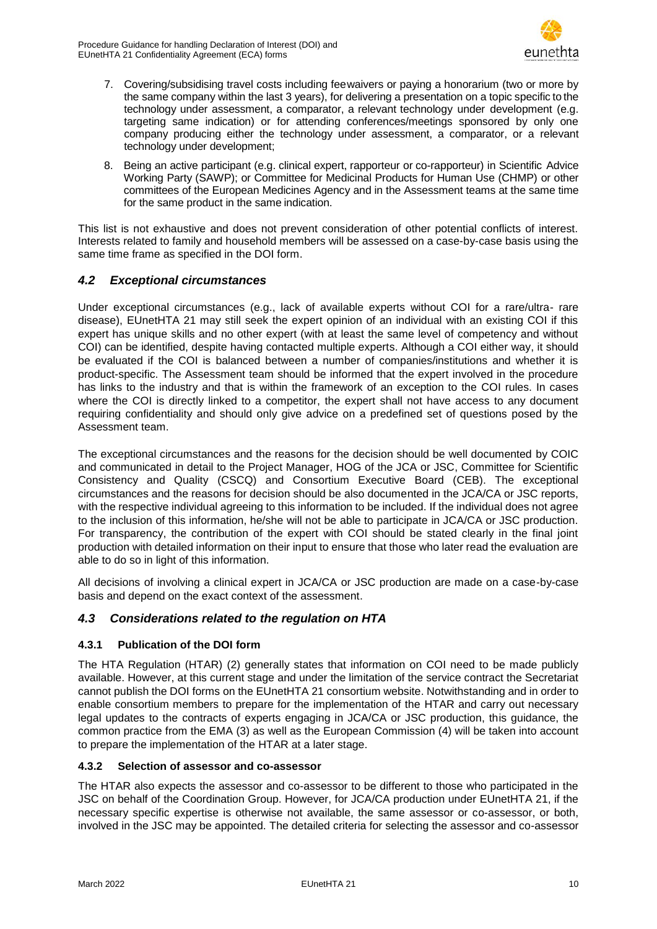

- 7. Covering/subsidising travel costs including feewaivers or paying a honorarium (two or more by the same company within the last 3 years), for delivering a presentation on a topic specific to the technology under assessment, a comparator, a relevant technology under development (e.g. targeting same indication) or for attending conferences/meetings sponsored by only one company producing either the technology under assessment, a comparator, or a relevant technology under development;
- 8. Being an active participant (e.g. clinical expert, rapporteur or co-rapporteur) in Scientific Advice Working Party (SAWP); or Committee for Medicinal Products for Human Use (CHMP) or other committees of the European Medicines Agency and in the Assessment teams at the same time for the same product in the same indication.

This list is not exhaustive and does not prevent consideration of other potential conflicts of interest. Interests related to family and household members will be assessed on a case-by-case basis using the same time frame as specified in the DOI form.

### <span id="page-9-0"></span>*4.2 Exceptional circumstances*

Under exceptional circumstances (e.g., lack of available experts without COI for a rare/ultra- rare disease), EUnetHTA 21 may still seek the expert opinion of an individual with an existing COI if this expert has unique skills and no other expert (with at least the same level of competency and without COI) can be identified, despite having contacted multiple experts. Although a COI either way, it should be evaluated if the COI is balanced between a number of companies/institutions and whether it is product-specific. The Assessment team should be informed that the expert involved in the procedure has links to the industry and that is within the framework of an exception to the COI rules. In cases where the COI is directly linked to a competitor, the expert shall not have access to any document requiring confidentiality and should only give advice on a predefined set of questions posed by the Assessment team.

The exceptional circumstances and the reasons for the decision should be well documented by COIC and communicated in detail to the Project Manager, HOG of the JCA or JSC, Committee for Scientific Consistency and Quality (CSCQ) and Consortium Executive Board (CEB). The exceptional circumstances and the reasons for decision should be also documented in the JCA/CA or JSC reports, with the respective individual agreeing to this information to be included. If the individual does not agree to the inclusion of this information, he/she will not be able to participate in JCA/CA or JSC production. For transparency, the contribution of the expert with COI should be stated clearly in the final joint production with detailed information on their input to ensure that those who later read the evaluation are able to do so in light of this information.

All decisions of involving a clinical expert in JCA/CA or JSC production are made on a case-by-case basis and depend on the exact context of the assessment.

### <span id="page-9-1"></span>*4.3 Considerations related to the regulation on HTA*

#### **4.3.1 Publication of the DOI form**

The HTA Regulation (HTAR) [\(2\)](#page-12-2) generally states that information on COI need to be made publicly available. However, at this current stage and under the limitation of the service contract the Secretariat cannot publish the DOI forms on the EUnetHTA 21 consortium website. Notwithstanding and in order to enable consortium members to prepare for the implementation of the HTAR and carry out necessary legal updates to the contracts of experts engaging in JCA/CA or JSC production, this guidance, the common practice from the EMA [\(3\)](#page-12-3) as well as the European Commission [\(4\)](#page-12-4) will be taken into account to prepare the implementation of the HTAR at a later stage.

#### **4.3.2 Selection of assessor and co-assessor**

The HTAR also expects the assessor and co-assessor to be different to those who participated in the JSC on behalf of the Coordination Group. However, for JCA/CA production under EUnetHTA 21, if the necessary specific expertise is otherwise not available, the same assessor or co-assessor, or both, involved in the JSC may be appointed. The detailed criteria for selecting the assessor and co-assessor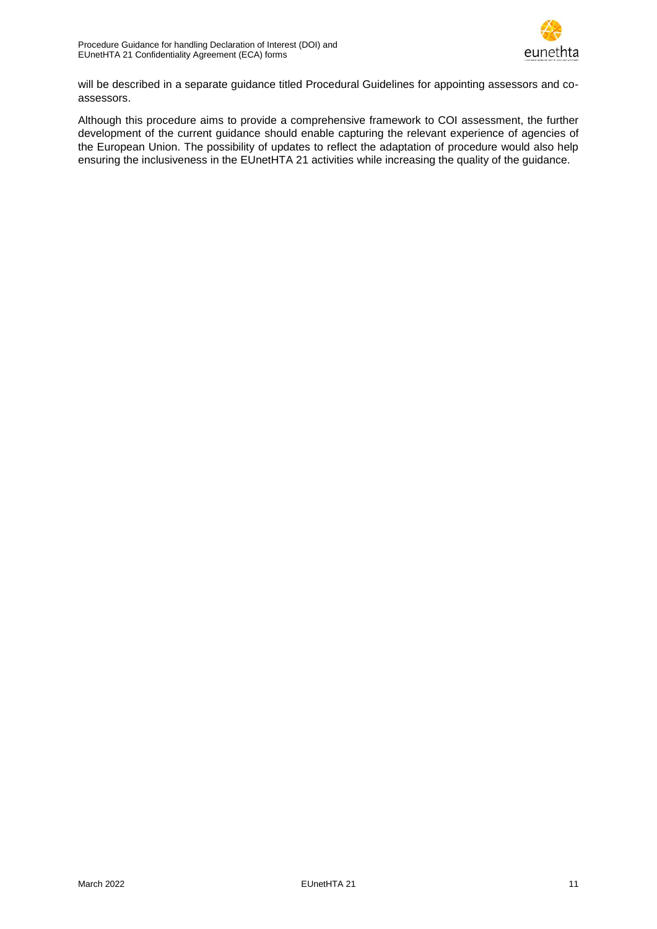

will be described in a separate guidance titled Procedural Guidelines for appointing assessors and coassessors.

Although this procedure aims to provide a comprehensive framework to COI assessment, the further development of the current guidance should enable capturing the relevant experience of agencies of the European Union. The possibility of updates to reflect the adaptation of procedure would also help ensuring the inclusiveness in the EUnetHTA 21 activities while increasing the quality of the guidance.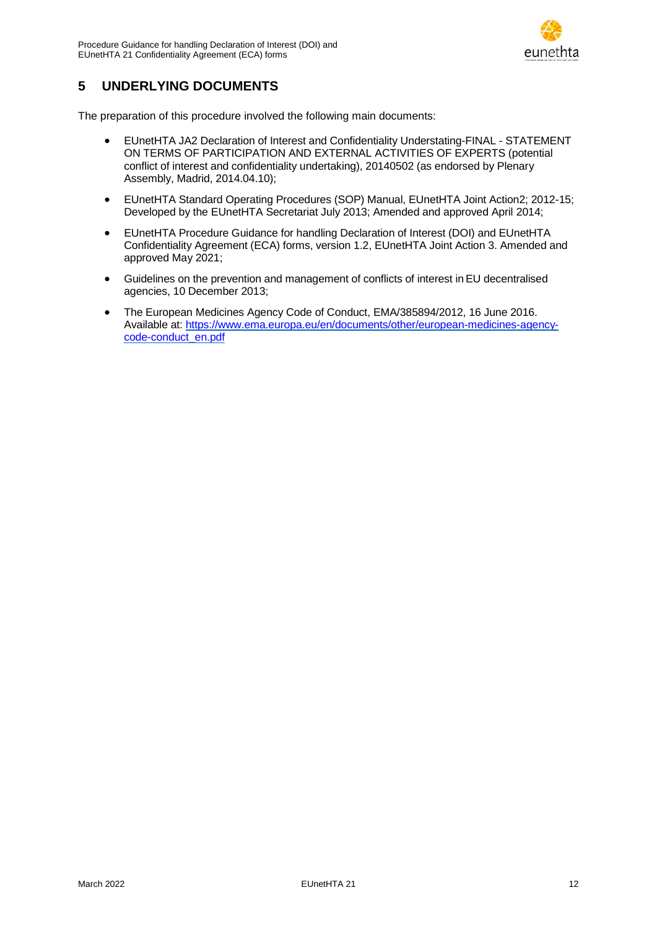

## <span id="page-11-0"></span>**5 UNDERLYING DOCUMENTS**

The preparation of this procedure involved the following main documents:

- EUnetHTA JA2 Declaration of Interest and Confidentiality Understating-FINAL STATEMENT ON TERMS OF PARTICIPATION AND EXTERNAL ACTIVITIES OF EXPERTS (potential conflict of interest and confidentiality undertaking), 20140502 (as endorsed by Plenary Assembly, Madrid, 2014.04.10);
- EUnetHTA Standard Operating Procedures (SOP) Manual, EUnetHTA Joint Action2; 2012-15; Developed by the EUnetHTA Secretariat July 2013; Amended and approved April 2014;
- EUnetHTA Procedure Guidance for handling Declaration of Interest (DOI) and EUnetHTA Confidentiality Agreement (ECA) forms, version 1.2, EUnetHTA Joint Action 3. Amended and approved May 2021;
- Guidelines on the prevention and management of conflicts of interest inEU decentralised agencies, 10 December 2013;
- The European Medicines Agency Code of Conduct, EMA/385894/2012, 16 June 2016. Available at: [https://www.ema.europa.eu/en/documents/other/european-medicines-agency](https://www.ema.europa.eu/en/documents/other/european-medicines-agency-code-conduct_en.pdf)[code-conduct\\_en.pdf](https://www.ema.europa.eu/en/documents/other/european-medicines-agency-code-conduct_en.pdf)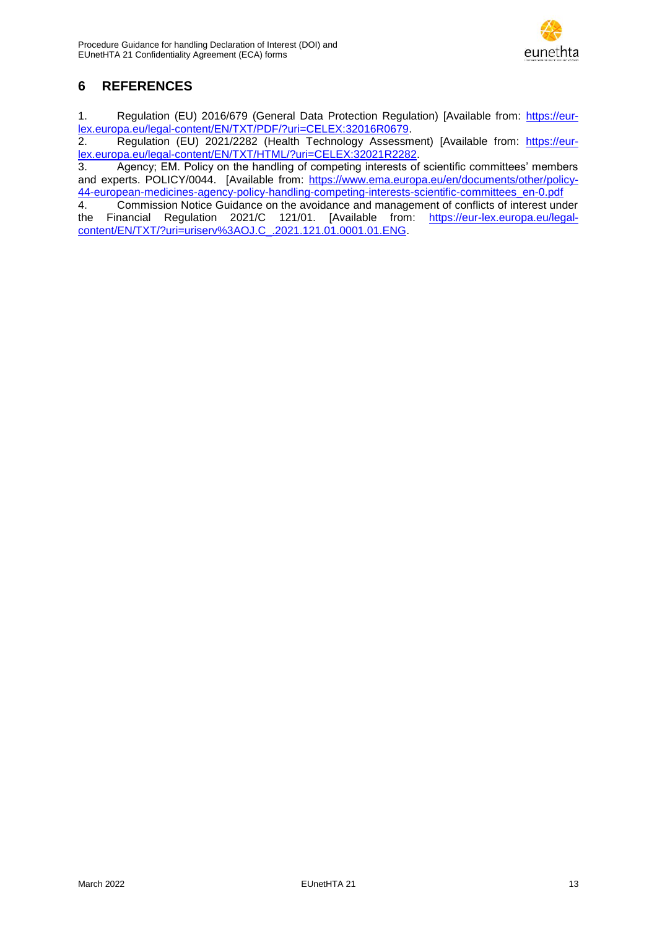

# <span id="page-12-0"></span>**6 REFERENCES**

<span id="page-12-1"></span>1. Regulation (EU) 2016/679 (General Data Protection Regulation) [Available from: [https://eur](https://eur-lex.europa.eu/legal-content/EN/TXT/PDF/?uri=CELEX:32016R0679)[lex.europa.eu/legal-content/EN/TXT/PDF/?uri=CELEX:32016R0679.](https://eur-lex.europa.eu/legal-content/EN/TXT/PDF/?uri=CELEX:32016R0679)<br>2. Regulation (EU) 2021/2282 (Health Technology Assessm

<span id="page-12-2"></span>Regulation (EU) 2021/2282 (Health Technology Assessment) [Available from: [https://eur](https://eur-lex.europa.eu/legal-content/EN/TXT/HTML/?uri=CELEX:32021R2282)[lex.europa.eu/legal-content/EN/TXT/HTML/?uri=CELEX:32021R2282.](https://eur-lex.europa.eu/legal-content/EN/TXT/HTML/?uri=CELEX:32021R2282)

<span id="page-12-3"></span>3. Agency; EM. Policy on the handling of competing interests of scientific committees' members and experts. POLICY/0044. [Available from: [https://www.ema.europa.eu/en/documents/other/policy-](https://www.ema.europa.eu/en/documents/other/policy-44-european-medicines-agency-policy-handling-competing-interests-scientific-committees_en-0.pdf)[44-european-medicines-agency-policy-handling-competing-interests-scientific-committees\\_en-0.pdf](https://www.ema.europa.eu/en/documents/other/policy-44-european-medicines-agency-policy-handling-competing-interests-scientific-committees_en-0.pdf)

<span id="page-12-4"></span>4. Commission Notice Guidance on the avoidance and management of conflicts of interest under the Financial Regulation 2021/C 121/01. [Available from: [https://eur-lex.europa.eu/legal](https://eur-lex.europa.eu/legal-content/EN/TXT/?uri=uriserv%3AOJ.C_.2021.121.01.0001.01.ENG)[content/EN/TXT/?uri=uriserv%3AOJ.C\\_.2021.121.01.0001.01.ENG.](https://eur-lex.europa.eu/legal-content/EN/TXT/?uri=uriserv%3AOJ.C_.2021.121.01.0001.01.ENG)